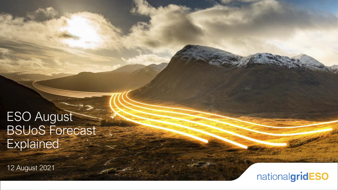## ESO August BSUoS Forecast Explained

12 August 2021